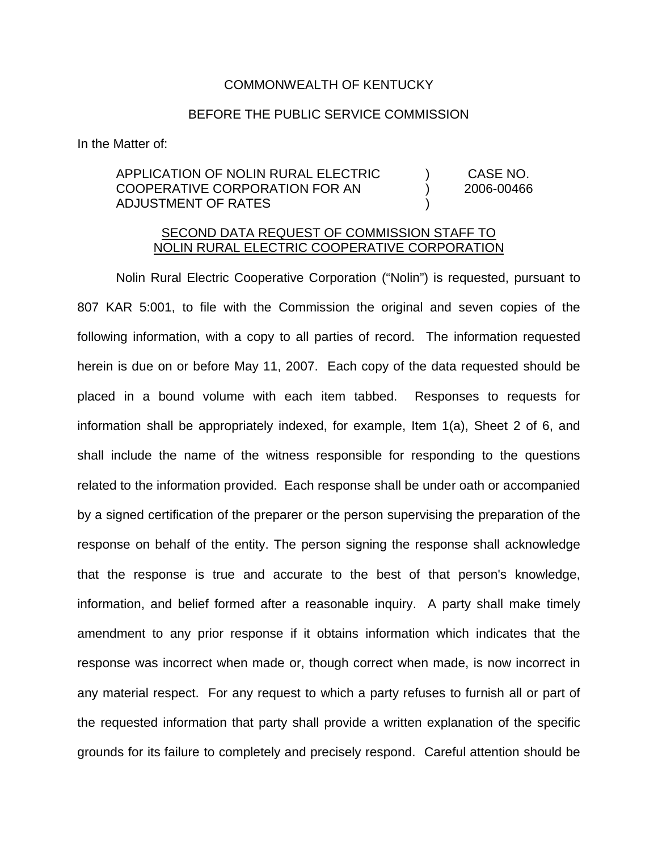## COMMONWEALTH OF KENTUCKY

## BEFORE THE PUBLIC SERVICE COMMISSION

In the Matter of:

## APPLICATION OF NOLIN RURAL ELECTRIC ) CASE NO. COOPERATIVE CORPORATION FOR AN ) 2006-00466 ADJUSTMENT OF RATES )

## SECOND DATA REQUEST OF COMMISSION STAFF TO NOLIN RURAL ELECTRIC COOPERATIVE CORPORATION

Nolin Rural Electric Cooperative Corporation ("Nolin") is requested, pursuant to 807 KAR 5:001, to file with the Commission the original and seven copies of the following information, with a copy to all parties of record. The information requested herein is due on or before May 11, 2007. Each copy of the data requested should be placed in a bound volume with each item tabbed. Responses to requests for information shall be appropriately indexed, for example, Item 1(a), Sheet 2 of 6, and shall include the name of the witness responsible for responding to the questions related to the information provided. Each response shall be under oath or accompanied by a signed certification of the preparer or the person supervising the preparation of the response on behalf of the entity. The person signing the response shall acknowledge that the response is true and accurate to the best of that person's knowledge, information, and belief formed after a reasonable inquiry. A party shall make timely amendment to any prior response if it obtains information which indicates that the response was incorrect when made or, though correct when made, is now incorrect in any material respect. For any request to which a party refuses to furnish all or part of the requested information that party shall provide a written explanation of the specific grounds for its failure to completely and precisely respond. Careful attention should be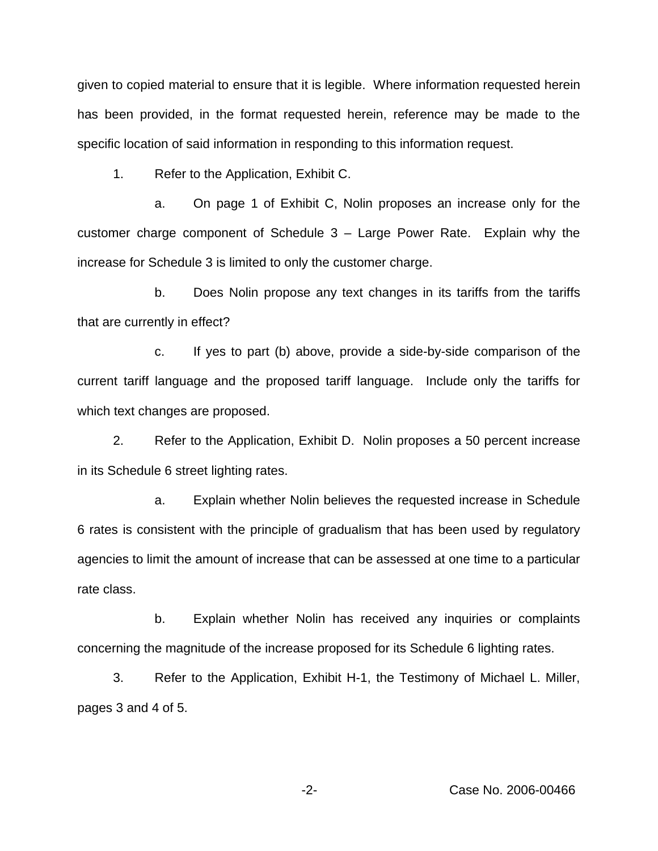given to copied material to ensure that it is legible. Where information requested herein has been provided, in the format requested herein, reference may be made to the specific location of said information in responding to this information request.

1. Refer to the Application, Exhibit C.

a. On page 1 of Exhibit C, Nolin proposes an increase only for the customer charge component of Schedule 3 – Large Power Rate. Explain why the increase for Schedule 3 is limited to only the customer charge.

b. Does Nolin propose any text changes in its tariffs from the tariffs that are currently in effect?

c. If yes to part (b) above, provide a side-by-side comparison of the current tariff language and the proposed tariff language. Include only the tariffs for which text changes are proposed.

2. Refer to the Application, Exhibit D. Nolin proposes a 50 percent increase in its Schedule 6 street lighting rates.

a. Explain whether Nolin believes the requested increase in Schedule 6 rates is consistent with the principle of gradualism that has been used by regulatory agencies to limit the amount of increase that can be assessed at one time to a particular rate class.

b. Explain whether Nolin has received any inquiries or complaints concerning the magnitude of the increase proposed for its Schedule 6 lighting rates.

3. Refer to the Application, Exhibit H-1, the Testimony of Michael L. Miller, pages 3 and 4 of 5.

-2- Case No. 2006-00466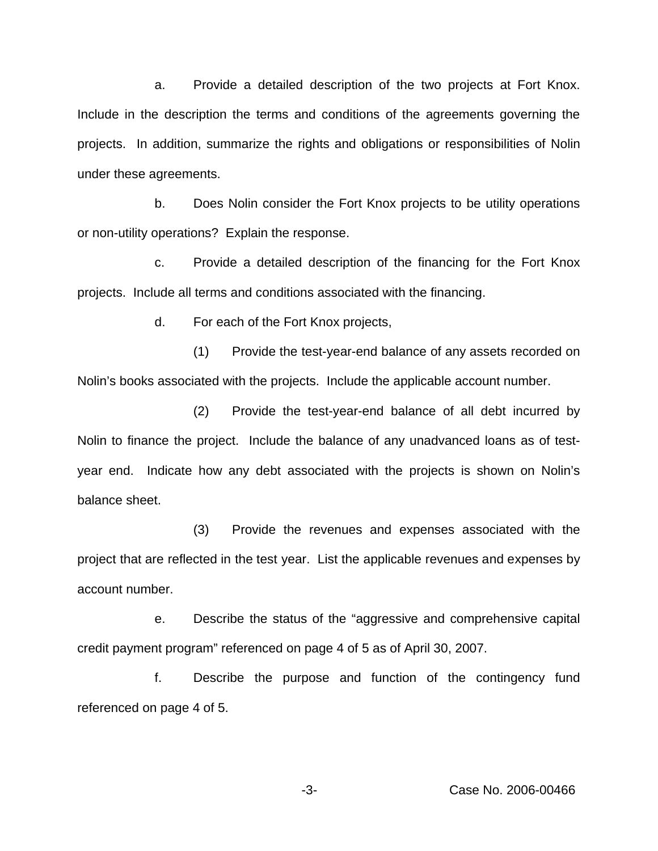a. Provide a detailed description of the two projects at Fort Knox. Include in the description the terms and conditions of the agreements governing the projects. In addition, summarize the rights and obligations or responsibilities of Nolin under these agreements.

b. Does Nolin consider the Fort Knox projects to be utility operations or non-utility operations? Explain the response.

c. Provide a detailed description of the financing for the Fort Knox projects. Include all terms and conditions associated with the financing.

d. For each of the Fort Knox projects,

(1) Provide the test-year-end balance of any assets recorded on Nolin's books associated with the projects. Include the applicable account number.

(2) Provide the test-year-end balance of all debt incurred by Nolin to finance the project. Include the balance of any unadvanced loans as of testyear end. Indicate how any debt associated with the projects is shown on Nolin's balance sheet.

(3) Provide the revenues and expenses associated with the project that are reflected in the test year. List the applicable revenues and expenses by account number.

e. Describe the status of the "aggressive and comprehensive capital credit payment program" referenced on page 4 of 5 as of April 30, 2007.

f. Describe the purpose and function of the contingency fund referenced on page 4 of 5.

-3- Case No. 2006-00466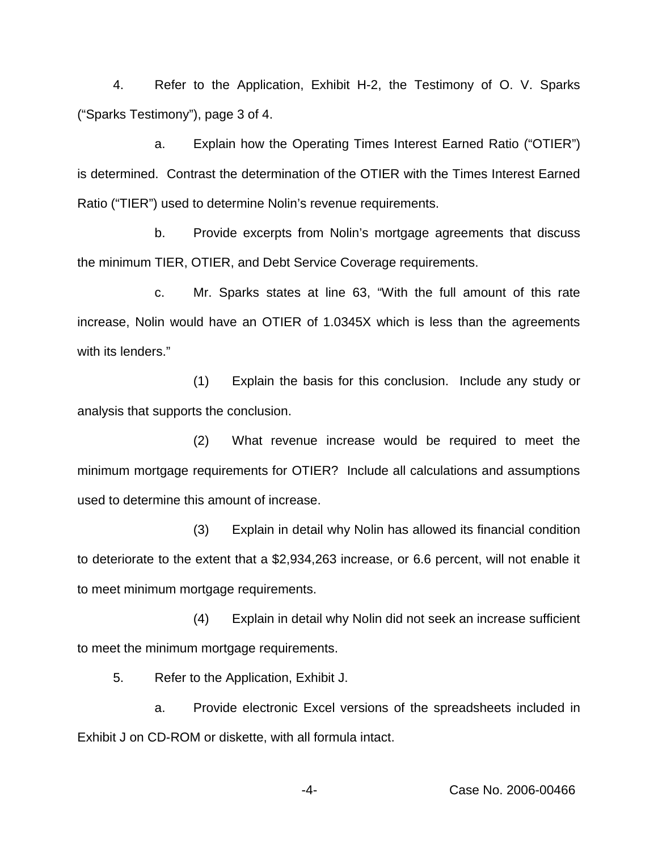4. Refer to the Application, Exhibit H-2, the Testimony of O. V. Sparks ("Sparks Testimony"), page 3 of 4.

a. Explain how the Operating Times Interest Earned Ratio ("OTIER") is determined. Contrast the determination of the OTIER with the Times Interest Earned Ratio ("TIER") used to determine Nolin's revenue requirements.

b. Provide excerpts from Nolin's mortgage agreements that discuss the minimum TIER, OTIER, and Debt Service Coverage requirements.

c. Mr. Sparks states at line 63, "With the full amount of this rate increase, Nolin would have an OTIER of 1.0345X which is less than the agreements with its lenders."

(1) Explain the basis for this conclusion. Include any study or analysis that supports the conclusion.

(2) What revenue increase would be required to meet the minimum mortgage requirements for OTIER? Include all calculations and assumptions used to determine this amount of increase.

(3) Explain in detail why Nolin has allowed its financial condition to deteriorate to the extent that a \$2,934,263 increase, or 6.6 percent, will not enable it to meet minimum mortgage requirements.

(4) Explain in detail why Nolin did not seek an increase sufficient to meet the minimum mortgage requirements.

5. Refer to the Application, Exhibit J.

a. Provide electronic Excel versions of the spreadsheets included in Exhibit J on CD-ROM or diskette, with all formula intact.

-4- Case No. 2006-00466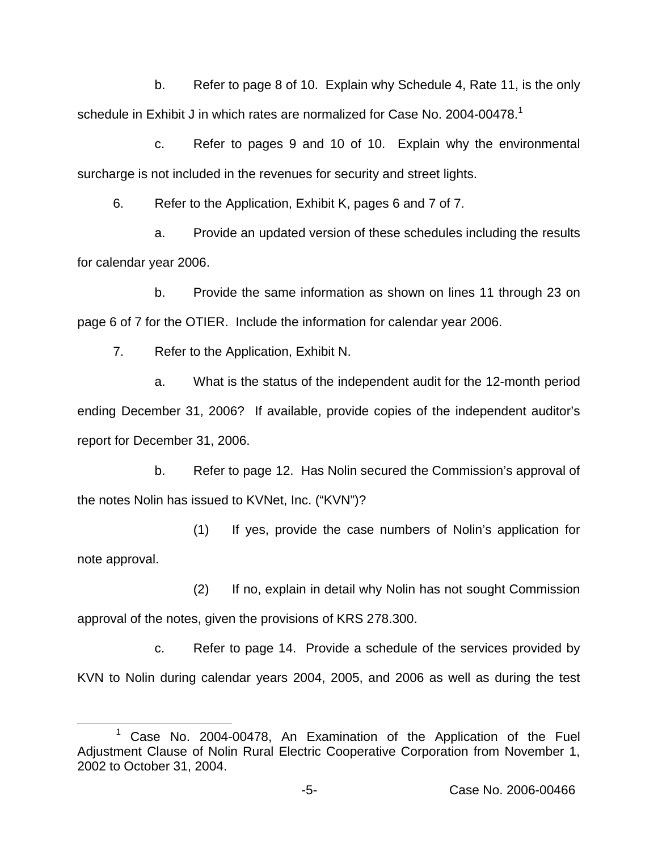b. Refer to page 8 of 10. Explain why Schedule 4, Rate 11, is the only schedule in Exhibit J in which rates are normalized for Case No. 2004-00478.<sup>1</sup>

c. Refer to pages 9 and 10 of 10. Explain why the environmental surcharge is not included in the revenues for security and street lights.

6. Refer to the Application, Exhibit K, pages 6 and 7 of 7.

a. Provide an updated version of these schedules including the results for calendar year 2006.

b. Provide the same information as shown on lines 11 through 23 on page 6 of 7 for the OTIER. Include the information for calendar year 2006.

7. Refer to the Application, Exhibit N.

a. What is the status of the independent audit for the 12-month period ending December 31, 2006? If available, provide copies of the independent auditor's report for December 31, 2006.

b. Refer to page 12. Has Nolin secured the Commission's approval of the notes Nolin has issued to KVNet, Inc. ("KVN")?

(1) If yes, provide the case numbers of Nolin's application for note approval.

(2) If no, explain in detail why Nolin has not sought Commission approval of the notes, given the provisions of KRS 278.300.

c. Refer to page 14. Provide a schedule of the services provided by KVN to Nolin during calendar years 2004, 2005, and 2006 as well as during the test

 $1$  Case No. 2004-00478, An Examination of the Application of the Fuel Adjustment Clause of Nolin Rural Electric Cooperative Corporation from November 1, 2002 to October 31, 2004.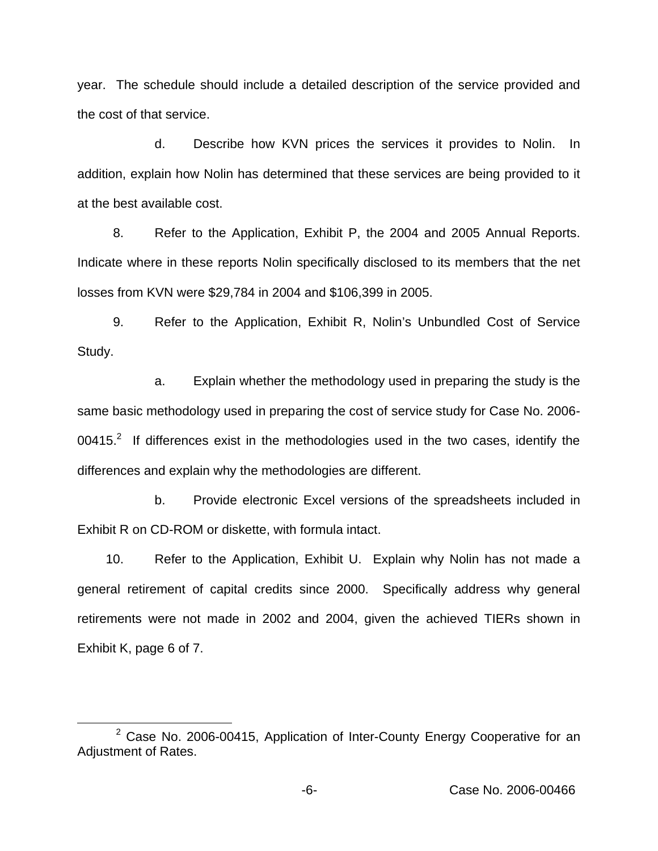year. The schedule should include a detailed description of the service provided and the cost of that service.

d. Describe how KVN prices the services it provides to Nolin. In addition, explain how Nolin has determined that these services are being provided to it at the best available cost.

8. Refer to the Application, Exhibit P, the 2004 and 2005 Annual Reports. Indicate where in these reports Nolin specifically disclosed to its members that the net losses from KVN were \$29,784 in 2004 and \$106,399 in 2005.

9. Refer to the Application, Exhibit R, Nolin's Unbundled Cost of Service Study.

a. Explain whether the methodology used in preparing the study is the same basic methodology used in preparing the cost of service study for Case No. 2006-  $00415.<sup>2</sup>$  If differences exist in the methodologies used in the two cases, identify the differences and explain why the methodologies are different.

b. Provide electronic Excel versions of the spreadsheets included in Exhibit R on CD-ROM or diskette, with formula intact.

10. Refer to the Application, Exhibit U. Explain why Nolin has not made a general retirement of capital credits since 2000. Specifically address why general retirements were not made in 2002 and 2004, given the achieved TIERs shown in Exhibit K, page 6 of 7.

 $2$  Case No. 2006-00415, Application of Inter-County Energy Cooperative for an Adjustment of Rates.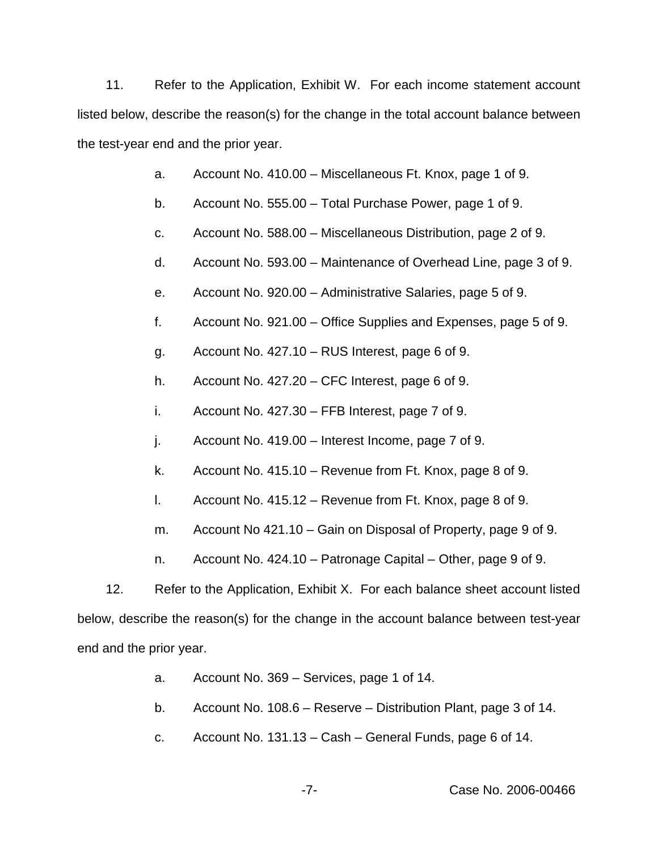11. Refer to the Application, Exhibit W. For each income statement account listed below, describe the reason(s) for the change in the total account balance between the test-year end and the prior year.

- a. Account No. 410.00 Miscellaneous Ft. Knox, page 1 of 9.
- b. Account No. 555.00 Total Purchase Power, page 1 of 9.
- c. Account No. 588.00 Miscellaneous Distribution, page 2 of 9.
- d. Account No. 593.00 Maintenance of Overhead Line, page 3 of 9.
- e. Account No. 920.00 Administrative Salaries, page 5 of 9.
- f. Account No. 921.00 Office Supplies and Expenses, page 5 of 9.
- g. Account No. 427.10 RUS Interest, page 6 of 9.
- h. Account No. 427.20 CFC Interest, page 6 of 9.
- i. Account No. 427.30 FFB Interest, page 7 of 9.
- j. Account No. 419.00 Interest Income, page 7 of 9.
- k. Account No. 415.10 Revenue from Ft. Knox, page 8 of 9.
- l. Account No. 415.12 Revenue from Ft. Knox, page 8 of 9.
- m. Account No 421.10 Gain on Disposal of Property, page 9 of 9.
- n. Account No. 424.10 Patronage Capital Other, page 9 of 9.

12. Refer to the Application, Exhibit X. For each balance sheet account listed below, describe the reason(s) for the change in the account balance between test-year end and the prior year.

- a. Account No. 369 Services, page 1 of 14.
- b. Account No. 108.6 Reserve Distribution Plant, page 3 of 14.
- c. Account No. 131.13 Cash General Funds, page 6 of 14.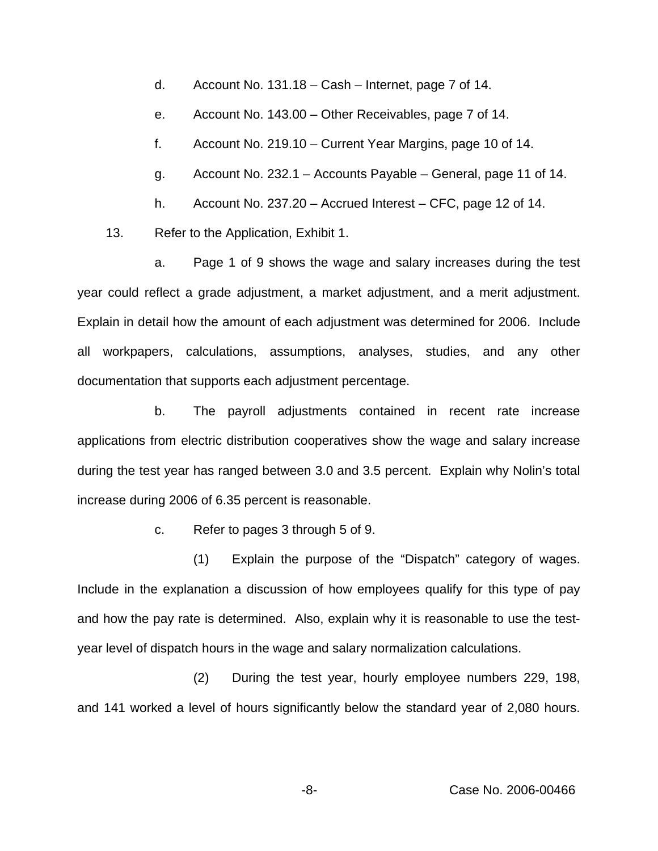d. Account No. 131.18 – Cash – Internet, page 7 of 14.

e. Account No. 143.00 – Other Receivables, page 7 of 14.

f. Account No. 219.10 – Current Year Margins, page 10 of 14.

g. Account No. 232.1 – Accounts Payable – General, page 11 of 14.

h. Account No. 237.20 – Accrued Interest – CFC, page 12 of 14.

13. Refer to the Application, Exhibit 1.

a. Page 1 of 9 shows the wage and salary increases during the test year could reflect a grade adjustment, a market adjustment, and a merit adjustment. Explain in detail how the amount of each adjustment was determined for 2006. Include all workpapers, calculations, assumptions, analyses, studies, and any other documentation that supports each adjustment percentage.

b. The payroll adjustments contained in recent rate increase applications from electric distribution cooperatives show the wage and salary increase during the test year has ranged between 3.0 and 3.5 percent. Explain why Nolin's total increase during 2006 of 6.35 percent is reasonable.

c. Refer to pages 3 through 5 of 9.

(1) Explain the purpose of the "Dispatch" category of wages. Include in the explanation a discussion of how employees qualify for this type of pay and how the pay rate is determined. Also, explain why it is reasonable to use the testyear level of dispatch hours in the wage and salary normalization calculations.

(2) During the test year, hourly employee numbers 229, 198, and 141 worked a level of hours significantly below the standard year of 2,080 hours.

-8- Case No. 2006-00466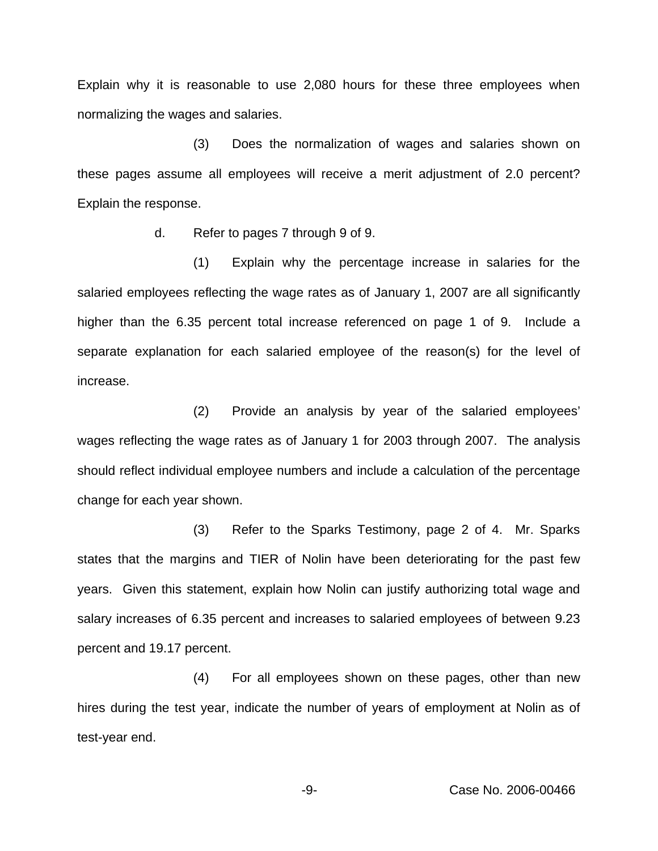Explain why it is reasonable to use 2,080 hours for these three employees when normalizing the wages and salaries.

(3) Does the normalization of wages and salaries shown on these pages assume all employees will receive a merit adjustment of 2.0 percent? Explain the response.

d. Refer to pages 7 through 9 of 9.

(1) Explain why the percentage increase in salaries for the salaried employees reflecting the wage rates as of January 1, 2007 are all significantly higher than the 6.35 percent total increase referenced on page 1 of 9. Include a separate explanation for each salaried employee of the reason(s) for the level of increase.

(2) Provide an analysis by year of the salaried employees' wages reflecting the wage rates as of January 1 for 2003 through 2007. The analysis should reflect individual employee numbers and include a calculation of the percentage change for each year shown.

(3) Refer to the Sparks Testimony, page 2 of 4. Mr. Sparks states that the margins and TIER of Nolin have been deteriorating for the past few years. Given this statement, explain how Nolin can justify authorizing total wage and salary increases of 6.35 percent and increases to salaried employees of between 9.23 percent and 19.17 percent.

(4) For all employees shown on these pages, other than new hires during the test year, indicate the number of years of employment at Nolin as of test-year end.

-9- Case No. 2006-00466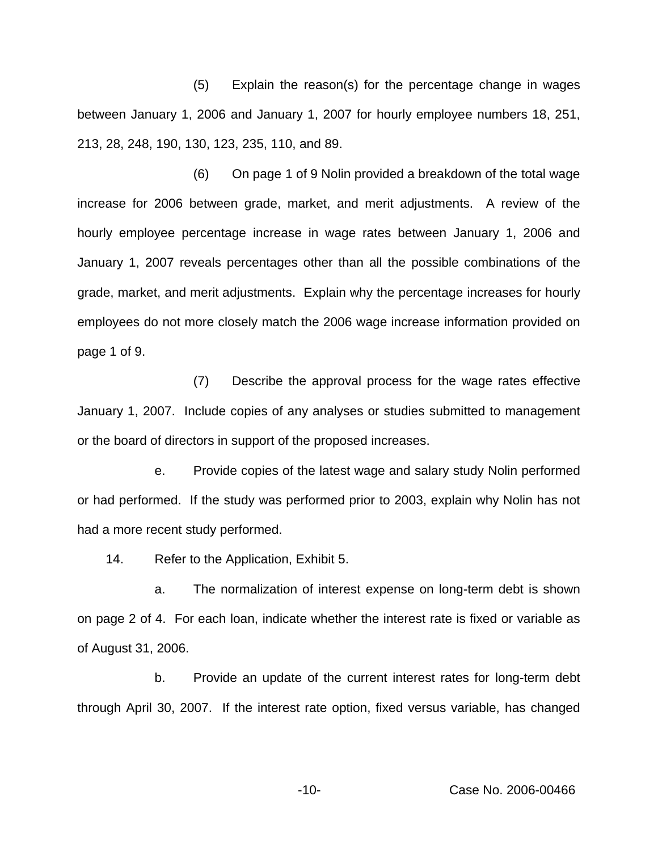(5) Explain the reason(s) for the percentage change in wages between January 1, 2006 and January 1, 2007 for hourly employee numbers 18, 251, 213, 28, 248, 190, 130, 123, 235, 110, and 89.

(6) On page 1 of 9 Nolin provided a breakdown of the total wage increase for 2006 between grade, market, and merit adjustments. A review of the hourly employee percentage increase in wage rates between January 1, 2006 and January 1, 2007 reveals percentages other than all the possible combinations of the grade, market, and merit adjustments. Explain why the percentage increases for hourly employees do not more closely match the 2006 wage increase information provided on page 1 of 9.

(7) Describe the approval process for the wage rates effective January 1, 2007. Include copies of any analyses or studies submitted to management or the board of directors in support of the proposed increases.

e. Provide copies of the latest wage and salary study Nolin performed or had performed. If the study was performed prior to 2003, explain why Nolin has not had a more recent study performed.

14. Refer to the Application, Exhibit 5.

a. The normalization of interest expense on long-term debt is shown on page 2 of 4. For each loan, indicate whether the interest rate is fixed or variable as of August 31, 2006.

b. Provide an update of the current interest rates for long-term debt through April 30, 2007. If the interest rate option, fixed versus variable, has changed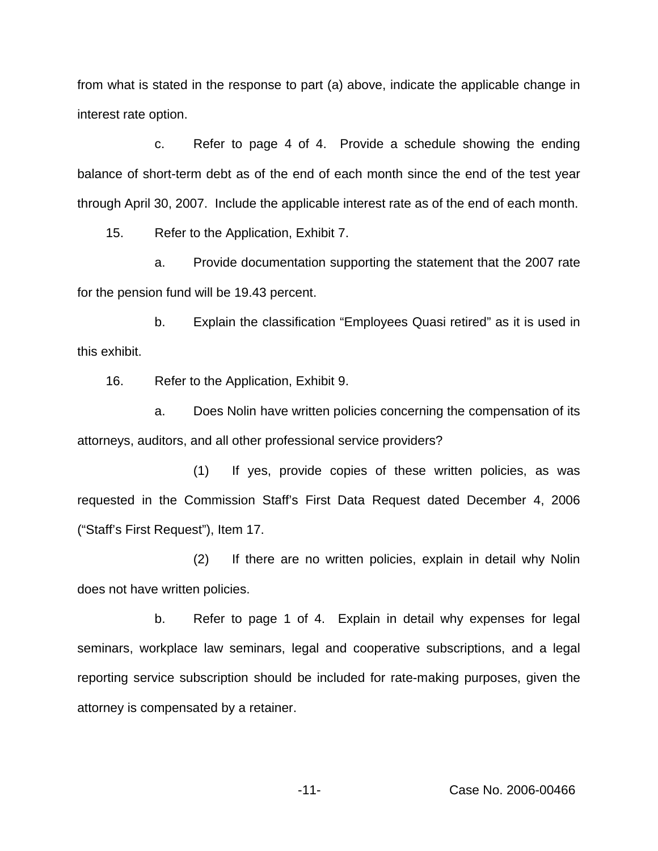from what is stated in the response to part (a) above, indicate the applicable change in interest rate option.

c. Refer to page 4 of 4. Provide a schedule showing the ending balance of short-term debt as of the end of each month since the end of the test year through April 30, 2007. Include the applicable interest rate as of the end of each month.

15. Refer to the Application, Exhibit 7.

a. Provide documentation supporting the statement that the 2007 rate for the pension fund will be 19.43 percent.

b. Explain the classification "Employees Quasi retired" as it is used in this exhibit.

16. Refer to the Application, Exhibit 9.

a. Does Nolin have written policies concerning the compensation of its attorneys, auditors, and all other professional service providers?

(1) If yes, provide copies of these written policies, as was requested in the Commission Staff's First Data Request dated December 4, 2006 ("Staff's First Request"), Item 17.

(2) If there are no written policies, explain in detail why Nolin does not have written policies.

b. Refer to page 1 of 4. Explain in detail why expenses for legal seminars, workplace law seminars, legal and cooperative subscriptions, and a legal reporting service subscription should be included for rate-making purposes, given the attorney is compensated by a retainer.

-11- Case No. 2006-00466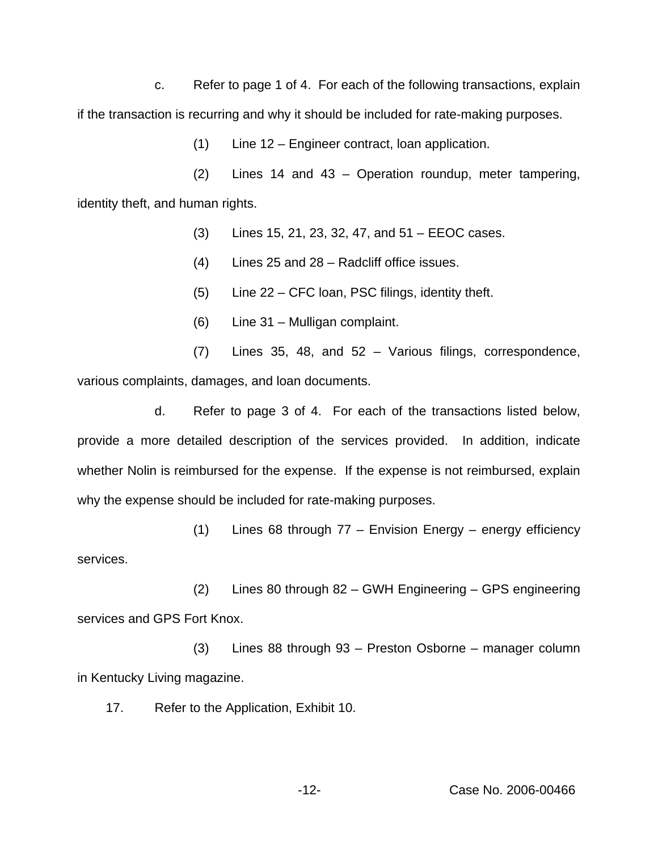c. Refer to page 1 of 4. For each of the following transactions, explain if the transaction is recurring and why it should be included for rate-making purposes.

(1) Line 12 – Engineer contract, loan application.

(2) Lines 14 and 43 – Operation roundup, meter tampering, identity theft, and human rights.

- (3) Lines 15, 21, 23, 32, 47, and 51 EEOC cases.
- (4) Lines 25 and 28 Radcliff office issues.
- (5) Line 22 CFC loan, PSC filings, identity theft.
- (6) Line 31 Mulligan complaint.
- (7) Lines 35, 48, and 52 Various filings, correspondence, various complaints, damages, and loan documents.

d. Refer to page 3 of 4. For each of the transactions listed below, provide a more detailed description of the services provided. In addition, indicate whether Nolin is reimbursed for the expense. If the expense is not reimbursed, explain why the expense should be included for rate-making purposes.

(1) Lines 68 through 77 – Envision Energy – energy efficiency services.

(2) Lines 80 through 82 – GWH Engineering – GPS engineering services and GPS Fort Knox.

(3) Lines 88 through 93 – Preston Osborne – manager column in Kentucky Living magazine.

17. Refer to the Application, Exhibit 10.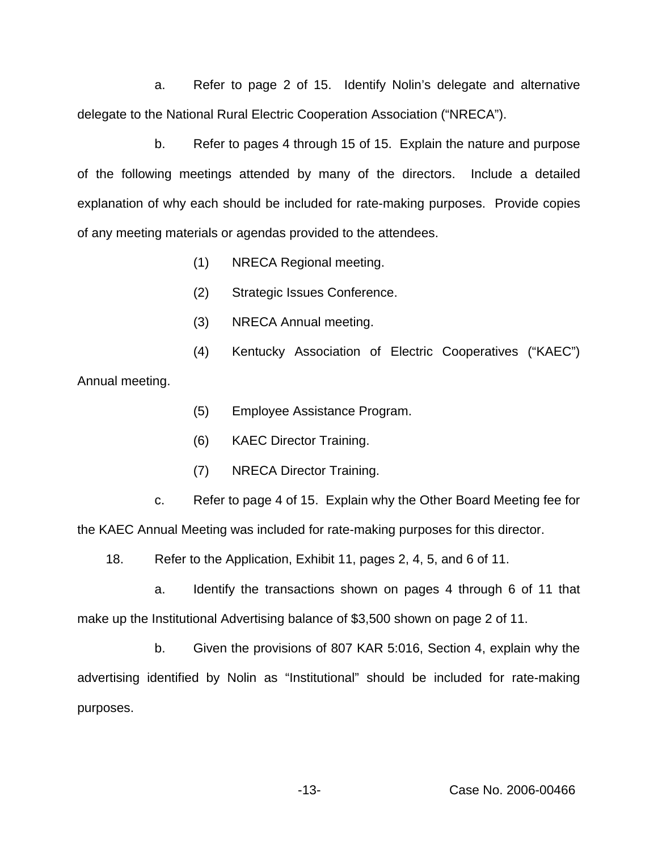a. Refer to page 2 of 15. Identify Nolin's delegate and alternative delegate to the National Rural Electric Cooperation Association ("NRECA").

b. Refer to pages 4 through 15 of 15. Explain the nature and purpose of the following meetings attended by many of the directors. Include a detailed explanation of why each should be included for rate-making purposes. Provide copies of any meeting materials or agendas provided to the attendees.

- (1) NRECA Regional meeting.
- (2) Strategic Issues Conference.
- (3) NRECA Annual meeting.
- (4) Kentucky Association of Electric Cooperatives ("KAEC")

Annual meeting.

- (5) Employee Assistance Program.
- (6) KAEC Director Training.
- (7) NRECA Director Training.

c. Refer to page 4 of 15. Explain why the Other Board Meeting fee for the KAEC Annual Meeting was included for rate-making purposes for this director.

18. Refer to the Application, Exhibit 11, pages 2, 4, 5, and 6 of 11.

a. Identify the transactions shown on pages 4 through 6 of 11 that make up the Institutional Advertising balance of \$3,500 shown on page 2 of 11.

b. Given the provisions of 807 KAR 5:016, Section 4, explain why the advertising identified by Nolin as "Institutional" should be included for rate-making purposes.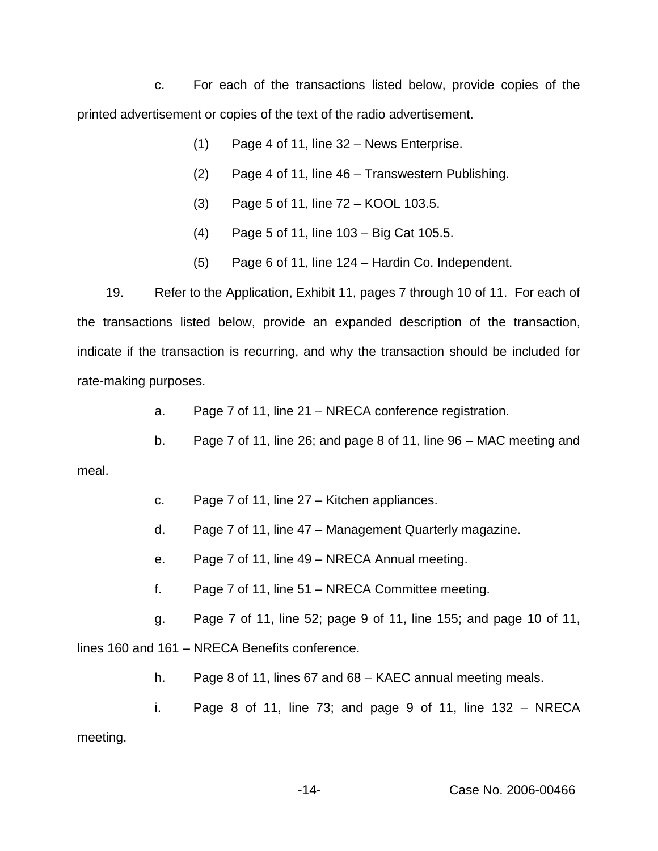c. For each of the transactions listed below, provide copies of the printed advertisement or copies of the text of the radio advertisement.

- (1) Page 4 of 11, line 32 News Enterprise.
- (2) Page 4 of 11, line 46 Transwestern Publishing.
- (3) Page 5 of 11, line 72 KOOL 103.5.
- (4) Page 5 of 11, line 103 Big Cat 105.5.
- (5) Page 6 of 11, line 124 Hardin Co. Independent.

19. Refer to the Application, Exhibit 11, pages 7 through 10 of 11. For each of the transactions listed below, provide an expanded description of the transaction, indicate if the transaction is recurring, and why the transaction should be included for rate-making purposes.

- a. Page 7 of 11, line 21 NRECA conference registration.
- b. Page 7 of 11, line 26; and page 8 of 11, line 96 MAC meeting and

meal.

- c. Page 7 of 11, line 27 Kitchen appliances.
- d. Page 7 of 11, line 47 Management Quarterly magazine.
- e. Page 7 of 11, line 49 NRECA Annual meeting.
- f. Page 7 of 11, line 51 NRECA Committee meeting.
- g. Page 7 of 11, line 52; page 9 of 11, line 155; and page 10 of 11,

lines 160 and 161 – NRECA Benefits conference.

- h. Page 8 of 11, lines 67 and 68 KAEC annual meeting meals.
- i. Page 8 of 11, line 73; and page 9 of 11, line  $132 \text{NRECA}$ meeting.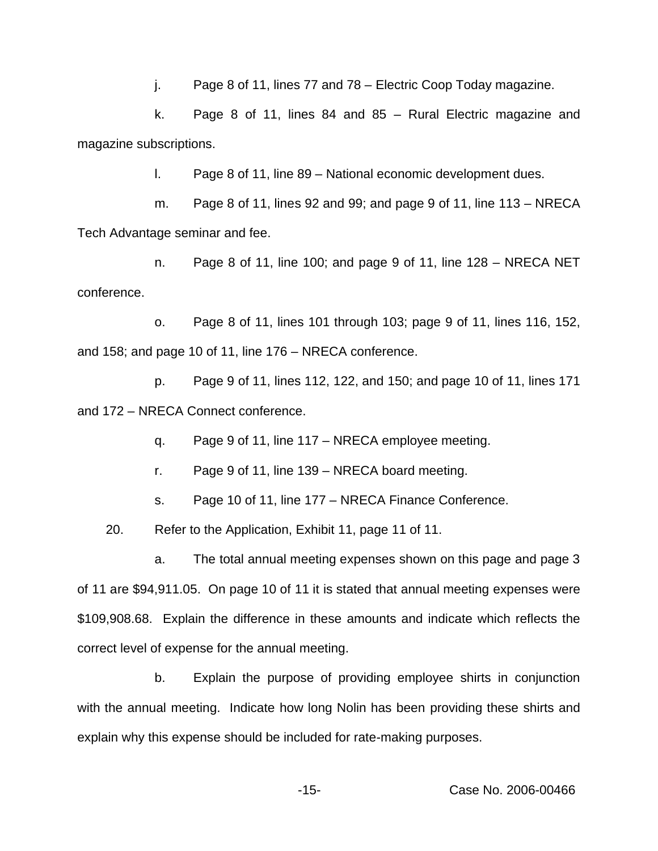j. Page 8 of 11, lines 77 and 78 – Electric Coop Today magazine.

k. Page 8 of 11, lines 84 and 85 – Rural Electric magazine and magazine subscriptions.

l. Page 8 of 11, line 89 – National economic development dues.

m. Page 8 of 11, lines 92 and 99; and page 9 of 11, line  $113 - NRECA$ Tech Advantage seminar and fee.

n. Page 8 of 11, line 100; and page 9 of 11, line 128 – NRECA NET conference.

o. Page 8 of 11, lines 101 through 103; page 9 of 11, lines 116, 152, and 158; and page 10 of 11, line 176 – NRECA conference.

p. Page 9 of 11, lines 112, 122, and 150; and page 10 of 11, lines 171 and 172 – NRECA Connect conference.

q. Page 9 of 11, line 117 – NRECA employee meeting.

r. Page 9 of 11, line 139 – NRECA board meeting.

s. Page 10 of 11, line 177 – NRECA Finance Conference.

20. Refer to the Application, Exhibit 11, page 11 of 11.

a. The total annual meeting expenses shown on this page and page 3 of 11 are \$94,911.05. On page 10 of 11 it is stated that annual meeting expenses were \$109,908.68. Explain the difference in these amounts and indicate which reflects the correct level of expense for the annual meeting.

b. Explain the purpose of providing employee shirts in conjunction with the annual meeting. Indicate how long Nolin has been providing these shirts and explain why this expense should be included for rate-making purposes.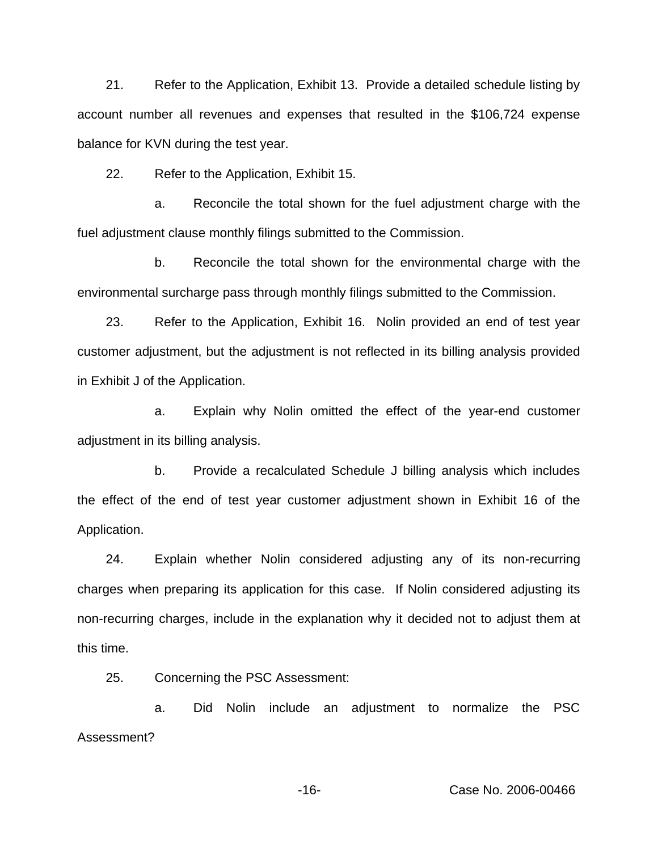21. Refer to the Application, Exhibit 13. Provide a detailed schedule listing by account number all revenues and expenses that resulted in the \$106,724 expense balance for KVN during the test year.

22. Refer to the Application, Exhibit 15.

a. Reconcile the total shown for the fuel adjustment charge with the fuel adjustment clause monthly filings submitted to the Commission.

b. Reconcile the total shown for the environmental charge with the environmental surcharge pass through monthly filings submitted to the Commission.

23. Refer to the Application, Exhibit 16. Nolin provided an end of test year customer adjustment, but the adjustment is not reflected in its billing analysis provided in Exhibit J of the Application.

a. Explain why Nolin omitted the effect of the year-end customer adjustment in its billing analysis.

b. Provide a recalculated Schedule J billing analysis which includes the effect of the end of test year customer adjustment shown in Exhibit 16 of the Application.

24. Explain whether Nolin considered adjusting any of its non-recurring charges when preparing its application for this case. If Nolin considered adjusting its non-recurring charges, include in the explanation why it decided not to adjust them at this time.

25. Concerning the PSC Assessment:

a. Did Nolin include an adjustment to normalize the PSC Assessment?

-16- Case No. 2006-00466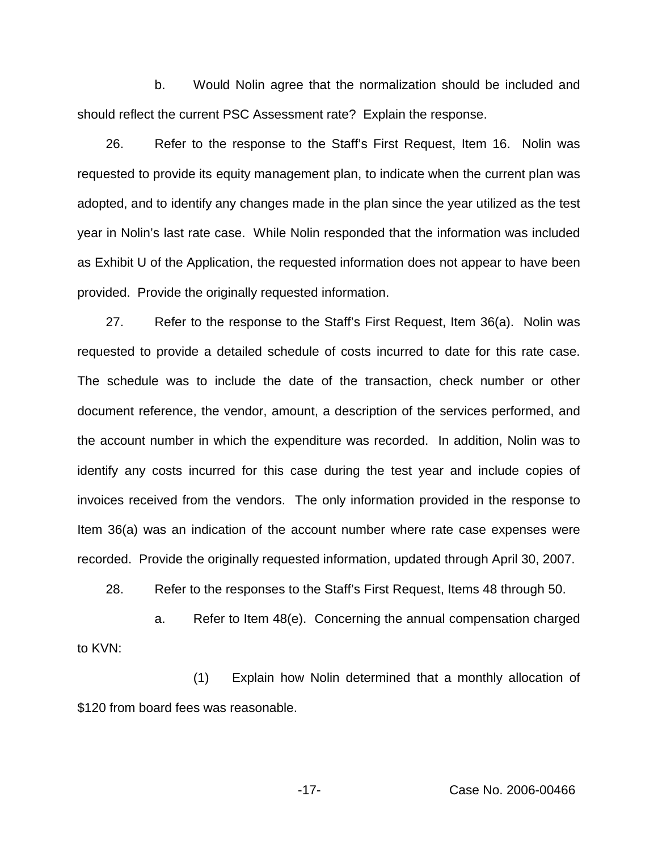b. Would Nolin agree that the normalization should be included and should reflect the current PSC Assessment rate? Explain the response.

26. Refer to the response to the Staff's First Request, Item 16. Nolin was requested to provide its equity management plan, to indicate when the current plan was adopted, and to identify any changes made in the plan since the year utilized as the test year in Nolin's last rate case. While Nolin responded that the information was included as Exhibit U of the Application, the requested information does not appear to have been provided. Provide the originally requested information.

27. Refer to the response to the Staff's First Request, Item 36(a). Nolin was requested to provide a detailed schedule of costs incurred to date for this rate case. The schedule was to include the date of the transaction, check number or other document reference, the vendor, amount, a description of the services performed, and the account number in which the expenditure was recorded. In addition, Nolin was to identify any costs incurred for this case during the test year and include copies of invoices received from the vendors. The only information provided in the response to Item 36(a) was an indication of the account number where rate case expenses were recorded. Provide the originally requested information, updated through April 30, 2007.

28. Refer to the responses to the Staff's First Request, Items 48 through 50.

a. Refer to Item 48(e). Concerning the annual compensation charged to KVN:

(1) Explain how Nolin determined that a monthly allocation of \$120 from board fees was reasonable.

-17- Case No. 2006-00466